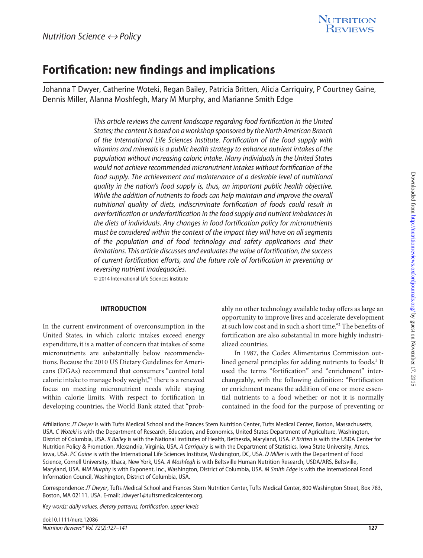

# **Fortification: new findings and implications**

Johanna T Dwyer, Catherine Woteki, Regan Bailey, Patricia Britten, Alicia Carriquiry, P Courtney Gaine, Dennis Miller, Alanna Moshfegh, Mary M Murphy, and Marianne Smith Edge

> This article reviews the current landscape regarding food fortification in the United States; the content is based on a workshop sponsored by the North American Branch of the International Life Sciences Institute. Fortification of the food supply with vitamins and minerals is a public health strategy to enhance nutrient intakes of the population without increasing caloric intake. Many individuals in the United States would not achieve recommended micronutrient intakes without fortification of the food supply. The achievement and maintenance of a desirable level of nutritional quality in the nation's food supply is, thus, an important public health objective. While the addition of nutrients to foods can help maintain and improve the overall nutritional quality of diets, indiscriminate fortification of foods could result in overfortification or underfortification in the food supply and nutrient imbalances in the diets of individuals. Any changes in food fortification policy for micronutrients must be considered within the context of the impact they will have on all segments of the population and of food technology and safety applications and their limitations. This article discusses and evaluates the value of fortification, the success of current fortification efforts, and the future role of fortification in preventing or reversing nutrient inadequacies.

© 2014 International Life Sciences Institute

## **INTRODUCTION**

In the current environment of overconsumption in the United States, in which caloric intakes exceed energy expenditure, it is a matter of concern that intakes of some micronutrients are substantially below recommendations. Because the 2010 US Dietary Guidelines for Americans (DGAs) recommend that consumers "control total calorie intake to manage body weight,"1 there is a renewed focus on meeting micronutrient needs while staying within calorie limits. With respect to fortification in developing countries, the World Bank stated that "probably no other technology available today offers as large an opportunity to improve lives and accelerate development at such low cost and in such a short time."2 The benefits of fortification are also substantial in more highly industrialized countries.

In 1987, the Codex Alimentarius Commission outlined general principles for adding nutrients to foods.<sup>3</sup> It used the terms "fortification" and "enrichment" interchangeably, with the following definition: "Fortification or enrichment means the addition of one or more essential nutrients to a food whether or not it is normally contained in the food for the purpose of preventing or

Affiliations: JT Dwyer is with Tufts Medical School and the Frances Stern Nutrition Center, Tufts Medical Center, Boston, Massachusetts, USA. C Woteki is with the Department of Research, Education, and Economics, United States Department of Agriculture, Washington, District of Columbia, USA. R Bailey is with the National Institutes of Health, Bethesda, Maryland, USA. P Britten is with the USDA Center for Nutrition Policy & Promotion, Alexandria, Virginia, USA. A Carriquiry is with the Department of Statistics, Iowa State University, Ames, Iowa, USA. PC Gaine is with the International Life Sciences Institute, Washington, DC, USA. D Miller is with the Department of Food Science, Cornell University, Ithaca, New York, USA. A Moshfegh is with Beltsville Human Nutrition Research, USDA/ARS, Beltsville, Maryland, USA. MM Murphy is with Exponent, Inc., Washington, District of Columbia, USA. M Smith Edge is with the International Food Information Council, Washington, District of Columbia, USA.

Correspondence: JT Dwyer, Tufts Medical School and Frances Stern Nutrition Center, Tufts Medical Center, 800 Washington Street, Box 783, Boston, MA 02111, USA. E-mail: [Jdwyer1@tuftsmedicalcenter.org.](mailto:Jdwyer1@tuftsmedicalcenter.org)

Key words: daily values, dietary patterns, fortification, upper levels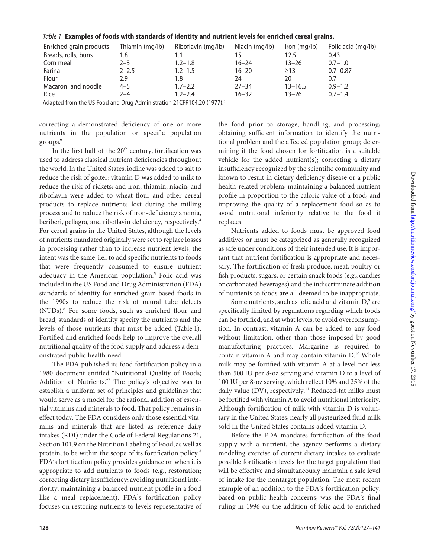| $10000$ . Englished at tagget might stations as at theirity mim timesters in the two distribution server stration |                 |                    |                |              |                    |
|-------------------------------------------------------------------------------------------------------------------|-----------------|--------------------|----------------|--------------|--------------------|
| Enriched grain products                                                                                           | Thiamin (mg/lb) | Riboflavin (mg/lb) | Niacin (mg/lb) | lron (mg/lb) | Folic acid (mg/lb) |
| Breads, rolls, buns                                                                                               | 1.8             | 1.1                |                | 12.5         | 0.43               |
| Corn meal                                                                                                         | $2 - 3$         | $1.2 - 1.8$        | $16 - 24$      | $13 - 26$    | $0.7 - 1.0$        |
| Farina                                                                                                            | $2 - 2.5$       | $1.2 - 1.5$        | $16 - 20$      | $\geq$ 13    | $0.7 - 0.87$       |
| Flour                                                                                                             | 2.9             | 1.8                | 24             | 20           | 0.7                |
| Macaroni and noodle                                                                                               | $4 - 5$         | $1.7 - 2.2$        | $27 - 34$      | $13 - 16.5$  | $0.9 - 1.2$        |
| Rice                                                                                                              | 2–4             | $1.2 - 2.4$        | $16 - 32$      | $13 - 26$    | $0.7 - 1.4$        |

Table 1 **Examples of foods with standards of identity and nutrient levels for enriched cereal grains.**

Adapted from the US Food and Drug Administration 21CFR104.20 (1977).<sup>5</sup>

correcting a demonstrated deficiency of one or more nutrients in the population or specific population groups."

In the first half of the  $20<sup>th</sup>$  century, fortification was used to address classical nutrient deficiencies throughout the world. In the United States, iodine was added to salt to reduce the risk of goiter; vitamin D was added to milk to reduce the risk of rickets; and iron, thiamin, niacin, and riboflavin were added to wheat flour and other cereal products to replace nutrients lost during the milling process and to reduce the risk of iron-deficiency anemia, beriberi, pellagra, and riboflavin deficiency, respectively.<sup>4</sup> For cereal grains in the United States, although the levels of nutrients mandated originally were set to replace losses in processing rather than to increase nutrient levels, the intent was the same, i.e., to add specific nutrients to foods that were frequently consumed to ensure nutrient adequacy in the American population.<sup>5</sup> Folic acid was included in the US Food and Drug Administration (FDA) standards of identity for enriched grain-based foods in the 1990s to reduce the risk of neural tube defects (NTDs).6 For some foods, such as enriched flour and bread, standards of identity specify the nutrients and the levels of those nutrients that must be added (Table 1). Fortified and enriched foods help to improve the overall nutritional quality of the food supply and address a demonstrated public health need.

The FDA published its food fortification policy in a 1980 document entitled "Nutritional Quality of Foods; Addition of Nutrients."<sup>7</sup> The policy's objective was to establish a uniform set of principles and guidelines that would serve as a model for the rational addition of essential vitamins and minerals to food. That policy remains in effect today. The FDA considers only those essential vitamins and minerals that are listed as reference daily intakes (RDI) under the Code of Federal Regulations 21, Section 101.9 on the Nutrition Labeling of Food, as well as protein, to be within the scope of its fortification policy.<sup>8</sup> FDA's fortification policy provides guidance on when it is appropriate to add nutrients to foods (e.g., restoration; correcting dietary insufficiency; avoiding nutritional inferiority; maintaining a balanced nutrient profile in a food like a meal replacement). FDA's fortification policy focuses on restoring nutrients to levels representative of the food prior to storage, handling, and processing; obtaining sufficient information to identify the nutritional problem and the affected population group; determining if the food chosen for fortification is a suitable vehicle for the added nutrient(s); correcting a dietary insufficiency recognized by the scientific community and known to result in dietary deficiency disease or a public health-related problem; maintaining a balanced nutrient profile in proportion to the caloric value of a food; and improving the quality of a replacement food so as to avoid nutritional inferiority relative to the food it replaces.

Nutrients added to foods must be approved food additives or must be categorized as generally recognized as safe under conditions of their intended use. It is important that nutrient fortification is appropriate and necessary. The fortification of fresh produce, meat, poultry or fish products, sugars, or certain snack foods (e.g., candies or carbonated beverages) and the indiscriminate addition of nutrients to foods are all deemed to be inappropriate.

Some nutrients, such as folic acid and vitamin  $D<sub>1</sub><sup>9</sup>$  are specifically limited by regulations regarding which foods can be fortified, and at what levels, to avoid overconsumption. In contrast, vitamin A can be added to any food without limitation, other than those imposed by good manufacturing practices. Margarine is required to contain vitamin A and may contain vitamin D.<sup>10</sup> Whole milk may be fortified with vitamin A at a level not less than 500 IU per 8-oz serving and vitamin D to a level of 100 IU per 8-oz serving, which reflect 10% and 25% of the daily value (DV), respectively.<sup>11</sup> Reduced-fat milks must be fortified with vitamin A to avoid nutritional inferiority. Although fortification of milk with vitamin D is voluntary in the United States, nearly all pasteurized fluid milk sold in the United States contains added vitamin D.

Before the FDA mandates fortification of the food supply with a nutrient, the agency performs a dietary modeling exercise of current dietary intakes to evaluate possible fortification levels for the target population that will be effective and simultaneously maintain a safe level of intake for the nontarget population. The most recent example of an addition to the FDA's fortification policy, based on public health concerns, was the FDA's final ruling in 1996 on the addition of folic acid to enriched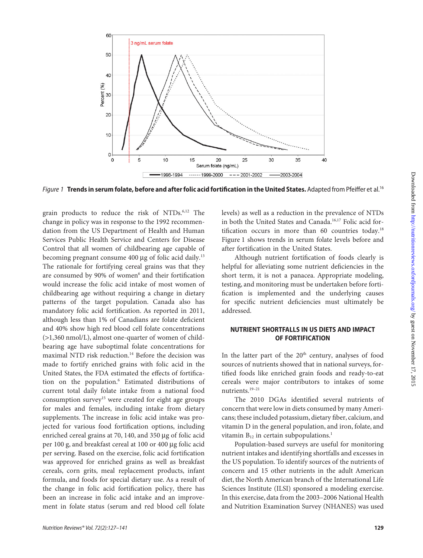

Figure 1 Trends in serum folate, before and after folic acid fortification in the United States. Adapted from Pfeiffer et al.<sup>16</sup>

grain products to reduce the risk of NTDs.<sup>6,12</sup> The change in policy was in response to the 1992 recommendation from the US Department of Health and Human Services Public Health Service and Centers for Disease Control that all women of childbearing age capable of becoming pregnant consume 400 μg of folic acid daily.13 The rationale for fortifying cereal grains was that they are consumed by 90% of women<sup>6</sup> and their fortification would increase the folic acid intake of most women of childbearing age without requiring a change in dietary patterns of the target population. Canada also has mandatory folic acid fortification. As reported in 2011, although less than 1% of Canadians are folate deficient and 40% show high red blood cell folate concentrations (>1,360 nmol/L), almost one-quarter of women of childbearing age have suboptimal folate concentrations for maximal NTD risk reduction.<sup>14</sup> Before the decision was made to fortify enriched grains with folic acid in the United States, the FDA estimated the effects of fortification on the population.6 Estimated distributions of current total daily folate intake from a national food consumption survey<sup>15</sup> were created for eight age groups for males and females, including intake from dietary supplements. The increase in folic acid intake was projected for various food fortification options, including enriched cereal grains at 70, 140, and 350 μg of folic acid per 100 g, and breakfast cereal at 100 or 400 μg folic acid per serving. Based on the exercise, folic acid fortification was approved for enriched grains as well as breakfast cereals, corn grits, meal replacement products, infant formula, and foods for special dietary use. As a result of the change in folic acid fortification policy, there has been an increase in folic acid intake and an improvement in folate status (serum and red blood cell folate

levels) as well as a reduction in the prevalence of NTDs in both the United States and Canada.<sup>16,17</sup> Folic acid fortification occurs in more than 60 countries today.<sup>18</sup> Figure 1 shows trends in serum folate levels before and after fortification in the United States.

Although nutrient fortification of foods clearly is helpful for alleviating some nutrient deficiencies in the short term, it is not a panacea. Appropriate modeling, testing, and monitoring must be undertaken before fortification is implemented and the underlying causes for specific nutrient deficiencies must ultimately be addressed.

## **NUTRIENT SHORTFALLS IN US DIETS AND IMPACT OF FORTIFICATION**

In the latter part of the  $20<sup>th</sup>$  century, analyses of food sources of nutrients showed that in national surveys, fortified foods like enriched grain foods and ready-to-eat cereals were major contributors to intakes of some nutrients.19–21

The 2010 DGAs identified several nutrients of concern that were low in diets consumed by many Americans; these included potassium, dietary fiber, calcium, and vitamin D in the general population, and iron, folate, and vitamin  $B_{12}$  in certain subpopulations.<sup>1</sup>

Population-based surveys are useful for monitoring nutrient intakes and identifying shortfalls and excesses in the US population. To identify sources of the nutrients of concern and 15 other nutrients in the adult American diet, the North American branch of the International Life Sciences Institute (ILSI) sponsored a modeling exercise. In this exercise, data from the 2003–2006 National Health and Nutrition Examination Survey (NHANES) was used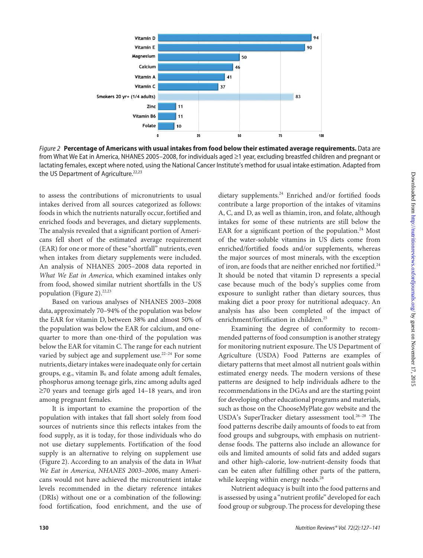

Figure 2 **Percentage of Americans with usual intakes from food below their estimated average requirements.** Data are from What We Eat in America, NHANES 2005–2008, for individuals aged ≥1 year, excluding breastfed children and pregnant or lactating females, except where noted, using the National Cancer Institute's method for usual intake estimation. Adapted from the US Department of Agriculture.<sup>22,23</sup>

to assess the contributions of micronutrients to usual intakes derived from all sources categorized as follows: foods in which the nutrients naturally occur, fortified and enriched foods and beverages, and dietary supplements. The analysis revealed that a significant portion of Americans fell short of the estimated average requirement (EAR) for one or more of these "shortfall" nutrients, even when intakes from dietary supplements were included. An analysis of NHANES 2005–2008 data reported in *What We Eat in America*, which examined intakes only from food, showed similar nutrient shortfalls in the US population (Figure 2). $22,223$ 

Based on various analyses of NHANES 2003–2008 data, approximately 70–94% of the population was below the EAR for vitamin D, between 38% and almost 50% of the population was below the EAR for calcium, and onequarter to more than one-third of the population was below the EAR for vitamin C. The range for each nutrient varied by subject age and supplement use.<sup>22-24</sup> For some nutrients, dietary intakes were inadequate only for certain groups, e.g., vitamin  $B_6$  and folate among adult females, phosphorus among teenage girls, zinc among adults aged ≥70 years and teenage girls aged 14–18 years, and iron among pregnant females.

It is important to examine the proportion of the population with intakes that fall short solely from food sources of nutrients since this reflects intakes from the food supply, as it is today, for those individuals who do not use dietary supplements. Fortification of the food supply is an alternative to relying on supplement use (Figure 2). According to an analysis of the data in *What We Eat in America, NHANES 2003–2006*, many Americans would not have achieved the micronutrient intake levels recommended in the dietary reference intakes (DRIs) without one or a combination of the following: food fortification, food enrichment, and the use of dietary supplements.<sup>24</sup> Enriched and/or fortified foods contribute a large proportion of the intakes of vitamins A, C, and D, as well as thiamin, iron, and folate, although intakes for some of these nutrients are still below the EAR for a significant portion of the population.<sup>24</sup> Most of the water-soluble vitamins in US diets come from enriched/fortified foods and/or supplements, whereas the major sources of most minerals, with the exception of iron, are foods that are neither enriched nor fortified.<sup>24</sup> It should be noted that vitamin D represents a special case because much of the body's supplies come from exposure to sunlight rather than dietary sources, thus making diet a poor proxy for nutritional adequacy. An analysis has also been completed of the impact of enrichment/fortification in children.<sup>25</sup>

Examining the degree of conformity to recommended patterns of food consumption is another strategy for monitoring nutrient exposure. The US Department of Agriculture (USDA) Food Patterns are examples of dietary patterns that meet almost all nutrient goals within estimated energy needs. The modern versions of these patterns are designed to help individuals adhere to the recommendations in the DGAs and are the starting point for developing other educational programs and materials, such as those on the ChooseMyPlate.gov website and the USDA's SuperTracker dietary assessment tool.<sup>26-28</sup> The food patterns describe daily amounts of foods to eat from food groups and subgroups, with emphasis on nutrientdense foods. The patterns also include an allowance for oils and limited amounts of solid fats and added sugars and other high-calorie, low-nutrient-density foods that can be eaten after fulfilling other parts of the pattern, while keeping within energy needs.<sup>28</sup>

Nutrient adequacy is built into the food patterns and is assessed by using a "nutrient profile" developed for each food group or subgroup. The process for developing these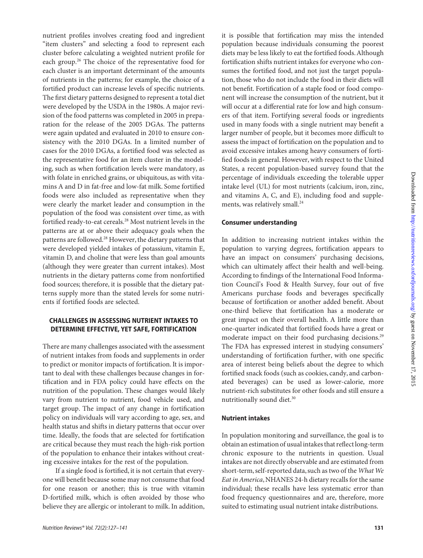nutrient profiles involves creating food and ingredient "item clusters" and selecting a food to represent each cluster before calculating a weighted nutrient profile for each group.<sup>26</sup> The choice of the representative food for each cluster is an important determinant of the amounts of nutrients in the patterns; for example, the choice of a fortified product can increase levels of specific nutrients. The first dietary patterns designed to represent a total diet were developed by the USDA in the 1980s. A major revision of the food patterns was completed in 2005 in preparation for the release of the 2005 DGAs. The patterns were again updated and evaluated in 2010 to ensure consistency with the 2010 DGAs. In a limited number of cases for the 2010 DGAs, a fortified food was selected as the representative food for an item cluster in the modeling, such as when fortification levels were mandatory, as with folate in enriched grains, or ubiquitous, as with vitamins A and D in fat-free and low-fat milk. Some fortified foods were also included as representative when they were clearly the market leader and consumption in the population of the food was consistent over time, as with fortified ready-to-eat cereals.28 Most nutrient levels in the patterns are at or above their adequacy goals when the patterns are followed.28 However, the dietary patterns that were developed yielded intakes of potassium, vitamin E, vitamin D, and choline that were less than goal amounts (although they were greater than current intakes). Most nutrients in the dietary patterns come from nonfortified food sources; therefore, it is possible that the dietary patterns supply more than the stated levels for some nutrients if fortified foods are selected.

## **CHALLENGES IN ASSESSING NUTRIENT INTAKES TO DETERMINE EFFECTIVE, YET SAFE, FORTIFICATION**

There are many challenges associated with the assessment of nutrient intakes from foods and supplements in order to predict or monitor impacts of fortification. It is important to deal with these challenges because changes in fortification and in FDA policy could have effects on the nutrition of the population. These changes would likely vary from nutrient to nutrient, food vehicle used, and target group. The impact of any change in fortification policy on individuals will vary according to age, sex, and health status and shifts in dietary patterns that occur over time. Ideally, the foods that are selected for fortification are critical because they must reach the high-risk portion of the population to enhance their intakes without creating excessive intakes for the rest of the population.

If a single food is fortified, it is not certain that everyone will benefit because some may not consume that food for one reason or another; this is true with vitamin D-fortified milk, which is often avoided by those who believe they are allergic or intolerant to milk. In addition, it is possible that fortification may miss the intended population because individuals consuming the poorest diets may be less likely to eat the fortified foods.Although fortification shifts nutrient intakes for everyone who consumes the fortified food, and not just the target population, those who do not include the food in their diets will not benefit. Fortification of a staple food or food component will increase the consumption of the nutrient, but it will occur at a differential rate for low and high consumers of that item. Fortifying several foods or ingredients used in many foods with a single nutrient may benefit a larger number of people, but it becomes more difficult to assess the impact of fortification on the population and to avoid excessive intakes among heavy consumers of fortified foods in general. However, with respect to the United States, a recent population-based survey found that the percentage of individuals exceeding the tolerable upper intake level (UL) for most nutrients (calcium, iron, zinc, and vitamins A, C, and E), including food and supplements, was relatively small.<sup>24</sup>

## **Consumer understanding**

In addition to increasing nutrient intakes within the population to varying degrees, fortification appears to have an impact on consumers' purchasing decisions, which can ultimately affect their health and well-being. According to findings of the International Food Information Council's Food & Health Survey, four out of five Americans purchase foods and beverages specifically because of fortification or another added benefit. About one-third believe that fortification has a moderate or great impact on their overall health. A little more than one-quarter indicated that fortified foods have a great or moderate impact on their food purchasing decisions.<sup>29</sup> The FDA has expressed interest in studying consumers' understanding of fortification further, with one specific area of interest being beliefs about the degree to which fortified snack foods (such as cookies, candy, and carbonated beverages) can be used as lower-calorie, more nutrient-rich substitutes for other foods and still ensure a nutritionally sound diet.30

## **Nutrient intakes**

In population monitoring and surveillance, the goal is to obtain an estimation of usual intakes that reflect long-term chronic exposure to the nutrients in question. Usual intakes are not directly observable and are estimated from short-term, self-reported data, such as two of the *What We Eat in America*, NHANES 24-h dietary recalls for the same individual; these recalls have less systematic error than food frequency questionnaires and are, therefore, more suited to estimating usual nutrient intake distributions.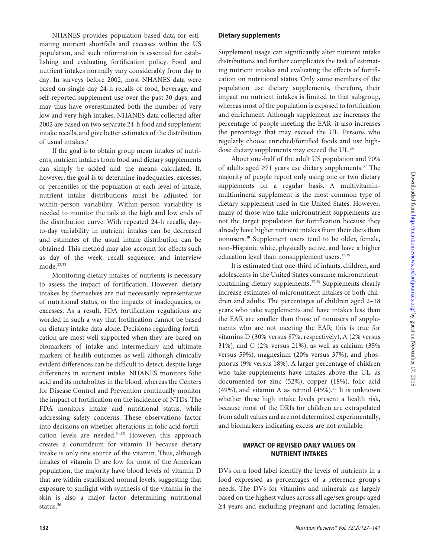NHANES provides population-based data for estimating nutrient shortfalls and excesses within the US population, and such information is essential for establishing and evaluating fortification policy. Food and nutrient intakes normally vary considerably from day to day. In surveys before 2002, most NHANES data were based on single-day 24-h recalls of food, beverage, and self-reported supplement use over the past 30 days, and may thus have overestimated both the number of very low and very high intakes. NHANES data collected after 2002 are based on two separate 24-h food and supplement intake recalls, and give better estimates of the distribution of usual intakes.<sup>31</sup>

If the goal is to obtain group mean intakes of nutrients, nutrient intakes from food and dietary supplements can simply be added and the means calculated. If, however, the goal is to determine inadequacies, excesses, or percentiles of the population at each level of intake, nutrient intake distributions must be adjusted for within-person variability. Within-person variability is needed to monitor the tails at the high and low ends of the distribution curve. With repeated 24-h recalls, dayto-day variability in nutrient intakes can be decreased and estimates of the usual intake distribution can be obtained. This method may also account for effects such as day of the week, recall sequence, and interview  $mode.<sup>32,33</sup>$ 

Monitoring dietary intakes of nutrients is necessary to assess the impact of fortification. However, dietary intakes by themselves are not necessarily representative of nutritional status, or the impacts of inadequacies, or excesses. As a result, FDA fortification regulations are worded in such a way that fortification cannot be based on dietary intake data alone. Decisions regarding fortification are most well supported when they are based on biomarkers of intake and intermediary and ultimate markers of health outcomes as well, although clinically evident differences can be difficult to detect, despite large differences in nutrient intake. NHANES monitors folic acid and its metabolites in the blood, whereas the Centers for Disease Control and Prevention continually monitor the impact of fortification on the incidence of NTDs. The FDA monitors intake and nutritional status, while addressing safety concerns. These observations factor into decisions on whether alterations in folic acid fortification levels are needed.<sup>34,35</sup> However, this approach creates a conundrum for vitamin D because dietary intake is only one source of the vitamin. Thus, although intakes of vitamin D are low for most of the American population, the majority have blood levels of vitamin D that are within established normal levels, suggesting that exposure to sunlight with synthesis of the vitamin in the skin is also a major factor determining nutritional status. $36$ 

## **Dietary supplements**

Supplement usage can significantly alter nutrient intake distributions and further complicates the task of estimating nutrient intakes and evaluating the effects of fortification on nutritional status. Only some members of the population use dietary supplements, therefore, their impact on nutrient intakes is limited to that subgroup, whereas most of the population is exposed to fortification and enrichment. Although supplement use increases the percentage of people meeting the EAR, it also increases the percentage that may exceed the UL. Persons who regularly choose enriched/fortified foods and use highdose dietary supplements may exceed the UL.<sup>24</sup>

About one-half of the adult US population and 70% of adults aged ≥71 years use dietary supplements.37 The majority of people report only using one or two dietary supplements on a regular basis. A multivitaminmultimineral supplement is the most common type of dietary supplement used in the United States. However, many of those who take micronutrient supplements are not the target population for fortification because they already have higher nutrient intakes from their diets than nonusers.<sup>38</sup> Supplement users tend to be older, female, non-Hispanic white, physically active, and have a higher education level than nonsupplement users.<sup>37,39</sup>

It is estimated that one-third of infants, children, and adolescents in the United States consume micronutrientcontaining dietary supplements.<sup>37,39</sup> Supplements clearly increase estimates of micronutrient intakes of both children and adults. The percentages of children aged 2–18 years who take supplements and have intakes less than the EAR are smaller than those of nonusers of supplements who are not meeting the EAR; this is true for vitamins D (30% versus 87%, respectively), A (2% versus 31%), and C (2% versus 21%), as well as calcium (35% versus 59%), magnesium (20% versus 37%), and phosphorus (9% versus 18%). A larger percentage of children who take supplements have intakes above the UL, as documented for zinc (52%), copper (18%), folic acid (49%), and vitamin A as retinol  $(45\%)$ .<sup>25</sup> It is unknown whether these high intake levels present a health risk, because most of the DRIs for children are extrapolated from adult values and are not determined experimentally, and biomarkers indicating excess are not available.

## **IMPACT OF REVISED DAILY VALUES ON NUTRIENT INTAKES**

DVs on a food label identify the levels of nutrients in a food expressed as percentages of a reference group's needs. The DVs for vitamins and minerals are largely based on the highest values across all age/sex groups aged ≥4 years and excluding pregnant and lactating females,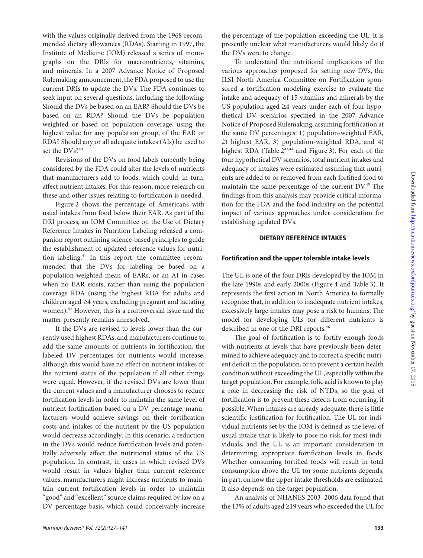with the values originally derived from the 1968 recommended dietary allowances (RDAs). Starting in 1997, the Institute of Medicine (IOM) released a series of monographs on the DRIs for macronutrients, vitamins, and minerals. In a 2007 Advance Notice of Proposed Rulemaking announcement, the FDA proposed to use the current DRIs to update the DVs. The FDA continues to seek input on several questions, including the following: Should the DVs be based on an EAR? Should the DVs be based on an RDA? Should the DVs be population weighted or based on population coverage, using the highest value for any population group, of the EAR or RDA? Should any or all adequate intakes (AIs) be used to set the DVs?<sup>40</sup>

Revisions of the DVs on food labels currently being considered by the FDA could alter the levels of nutrients that manufacturers add to foods, which could, in turn, affect nutrient intakes. For this reason, more research on these and other issues relating to fortification is needed.

Figure 2 shows the percentage of Americans with usual intakes from food below their EAR. As part of the DRI process, an IOM Committee on the Use of Dietary Reference Intakes in Nutrition Labeling released a companion report outlining science-based principles to guide the establishment of updated reference values for nutrition labeling.<sup>41</sup> In this report, the committee recommended that the DVs for labeling be based on a population-weighted mean of EARs, or an AI in cases when no EAR exists, rather than using the population coverage RDA (using the highest RDA for adults and children aged ≥4 years, excluding pregnant and lactating women).42 However, this is a controversial issue and the matter presently remains unresolved.

If the DVs are revised to levels lower than the currently used highest RDAs, and manufacturers continue to add the same amounts of nutrients in fortification, the labeled DV percentages for nutrients would increase, although this would have no effect on nutrient intakes or the nutrient status of the population if all other things were equal. However, if the revised DVs are lower than the current values and a manufacturer chooses to reduce fortification levels in order to maintain the same level of nutrient fortification based on a DV percentage, manufacturers would achieve savings on their fortification costs and intakes of the nutrient by the US population would decrease accordingly. In this scenario, a reduction in the DVs would reduce fortification levels and potentially adversely affect the nutritional status of the US population. In contrast, in cases in which revised DVs would result in values higher than current reference values, manufacturers might increase nutrients to maintain current fortification levels in order to maintain "good" and "excellent" source claims required by law on a DV percentage basis, which could conceivably increase the percentage of the population exceeding the UL. It is presently unclear what manufacturers would likely do if the DVs were to change.

To understand the nutritional implications of the various approaches proposed for setting new DVs, the ILSI North America Committee on Fortification sponsored a fortification modeling exercise to evaluate the intake and adequacy of 15 vitamins and minerals by the US population aged ≥4 years under each of four hypothetical DV scenarios specified in the 2007 Advance Notice of Proposed Rulemaking, assuming fortification at the same DV percentages: 1) population-weighted EAR, 2) highest EAR, 3) population-weighted RDA, and 4) highest RDA (Table  $2^{43,44}$  and Figure 3). For each of the four hypothetical DV scenarios, total nutrient intakes and adequacy of intakes were estimated assuming that nutrients are added to or removed from each fortified food to maintain the same percentage of the current DV.45 The findings from this analysis may provide critical information for the FDA and the food industry on the potential impact of various approaches under consideration for establishing updated DVs.

#### **DIETARY REFERENCE INTAKES**

#### **Fortification and the upper tolerable intake levels**

The UL is one of the four DRIs developed by the IOM in the late 1990s and early 2000s (Figure 4 and Table 3). It represents the first action in North America to formally recognize that, in addition to inadequate nutrient intakes, excessively large intakes may pose a risk to humans. The model for developing ULs for different nutrients is described in one of the DRI reports.46

The goal of fortification is to fortify enough foods with nutrients at levels that have previously been determined to achieve adequacy and to correct a specific nutrient deficit in the population, or to prevent a certain health condition without exceeding the UL, especially within the target population. For example, folic acid is known to play a role in decreasing the risk of NTDs, so the goal of fortification is to prevent these defects from occurring, if possible.When intakes are already adequate, there is little scientific justification for fortification. The UL for individual nutrients set by the IOM is defined as the level of usual intake that is likely to pose no risk for most individuals, and the UL is an important consideration in determining appropriate fortification levels in foods. Whether consuming fortified foods will result in total consumption above the UL for some nutrients depends, in part, on how the upper intake thresholds are estimated. It also depends on the target population.

An analysis of NHANES 2003–2006 data found that the 13% of adults aged ≥19 years who exceeded the UL for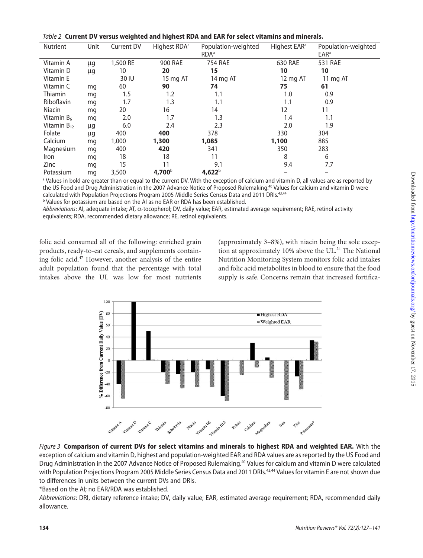|  |  |  |  |  | Table 2 Current DV versus weighted and highest RDA and EAR for select vitamins and minerals. |
|--|--|--|--|--|----------------------------------------------------------------------------------------------|
|--|--|--|--|--|----------------------------------------------------------------------------------------------|

| <b>Nutrient</b>  | Unit    | Current DV | Highest RDA <sup>a</sup> | Population-weighted<br>RDA <sup>a</sup> | Highest EAR <sup>a</sup> | Population-weighted<br>$EAR^a$ |
|------------------|---------|------------|--------------------------|-----------------------------------------|--------------------------|--------------------------------|
| Vitamin A        | $\mu$ g | 1,500 RE   | <b>900 RAE</b>           | 754 RAE                                 | 630 RAE                  | 531 RAE                        |
| Vitamin D        | $\mu$ g | 10         | 20                       | 15                                      | 10                       | 10                             |
| Vitamin E        |         | 30 IU      | 15 mg AT                 | 14 mg AT                                | 12 mg AT                 | 11 mg AT                       |
| Vitamin C        | mg      | 60         | 90                       | 74                                      | 75                       | 61                             |
| Thiamin          | mg      | 1.5        | 1.2                      | 1.1                                     | 1.0                      | 0.9                            |
| Riboflavin       | mg      | 1.7        | 1.3                      | 1.1                                     | 1.1                      | 0.9                            |
| Niacin           | mq      | 20         | 16                       | 14                                      | 12                       | 11                             |
| Vitamin $B_6$    | mg      | 2.0        | 1.7                      | 1.3                                     | 1.4                      | 1.1                            |
| Vitamin $B_{12}$ | μg      | 6.0        | 2.4                      | 2.3                                     | 2.0                      | 1.9                            |
| Folate           | $\mu$ g | 400        | 400                      | 378                                     | 330                      | 304                            |
| Calcium          | mg      | 1,000      | 1,300                    | 1,085                                   | 1,100                    | 885                            |
| Magnesium        | mg      | 400        | 420                      | 341                                     | 350                      | 283                            |
| <i>Iron</i>      | mg      | 18         | 18                       | 11                                      | 8                        | 6                              |
| Zinc             | mq      | 15         | 11                       | 9.1                                     | 9.4                      | 7.7                            |
| Potassium        | mq      | 3,500      | $4,700^{\rm b}$          | $4,622^{b}$                             |                          |                                |

<sup>a</sup> Values in bold are greater than or equal to the current DV. With the exception of calcium and vitamin D, all values are as reported by the US Food and Drug Administration in the 2007 Advance Notice of Proposed Rulemaking.<sup>40</sup> Values for calcium and vitamin D were calculated with Population Projections Program 2005 Middle Series Census Data and 2011 DRIs.43,44

b Values for potassium are based on the AI as no EAR or RDA has been established.

Abbreviations: AI, adequate intake; AT, α-tocopherol; DV, daily value; EAR, estimated average requirement; RAE, retinol activity equivalents; RDA, recommended dietary allowance; RE, retinol equivalents.

folic acid consumed all of the following: enriched grain products, ready-to-eat cereals, and supplements containing folic acid.47 However, another analysis of the entire adult population found that the percentage with total intakes above the UL was low for most nutrients

(approximately 3–8%), with niacin being the sole exception at approximately 10% above the UL.<sup>24</sup> The National Nutrition Monitoring System monitors folic acid intakes and folic acid metabolites in blood to ensure that the food supply is safe. Concerns remain that increased fortifica-



Figure 3 **Comparison of current DVs for select vitamins and minerals to highest RDA and weighted EAR.** With the exception of calcium and vitamin D, highest and population-weighted EAR and RDA values are as reported by the US Food and Drug Administration in the 2007 Advance Notice of Proposed Rulemaking.<sup>40</sup> Values for calcium and vitamin D were calculated with Population Projections Program 2005 Middle Series Census Data and 2011 DRIs.<sup>43,44</sup> Values for vitamin E are not shown due to differences in units between the current DVs and DRIs.

\*Based on the AI; no EAR/RDA was established.

Abbreviations: DRI, dietary reference intake; DV, daily value; EAR, estimated average requirement; RDA, recommended daily allowance.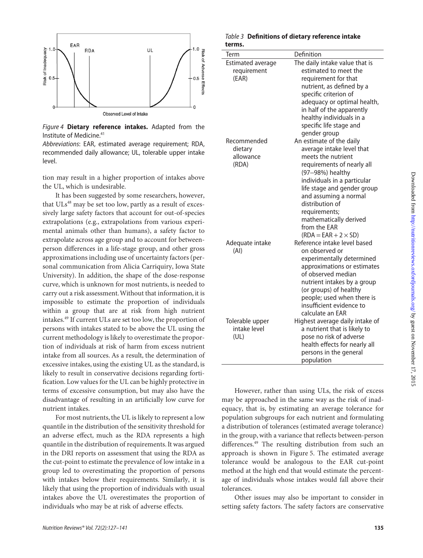

Figure 4 **Dietary reference intakes.** Adapted from the Institute of Medicine.41

Abbreviations: EAR, estimated average requirement; RDA, recommended daily allowance; UL, tolerable upper intake level.

tion may result in a higher proportion of intakes above the UL, which is undesirable.

It has been suggested by some researchers, however, that ULs<sup>48</sup> may be set too low, partly as a result of excessively large safety factors that account for out-of-species extrapolations (e.g., extrapolations from various experimental animals other than humans), a safety factor to extrapolate across age group and to account for betweenperson differences in a life-stage group, and other gross approximations including use of uncertainty factors (personal communication from Alicia Carriquiry, Iowa State University). In addition, the shape of the dose-response curve, which is unknown for most nutrients, is needed to carry out a risk assessment.Without that information, it is impossible to estimate the proportion of individuals within a group that are at risk from high nutrient intakes.49 If current ULs are set too low, the proportion of persons with intakes stated to be above the UL using the current methodology is likely to overestimate the proportion of individuals at risk of harm from excess nutrient intake from all sources. As a result, the determination of excessive intakes, using the existing UL as the standard, is likely to result in conservative decisions regarding fortification. Low values for the UL can be highly protective in terms of excessive consumption, but may also have the disadvantage of resulting in an artificially low curve for nutrient intakes.

For most nutrients, the UL is likely to represent a low quantile in the distribution of the sensitivity threshold for an adverse effect, much as the RDA represents a high quantile in the distribution of requirements. It was argued in the DRI reports on assessment that using the RDA as the cut-point to estimate the prevalence of low intake in a group led to overestimating the proportion of persons with intakes below their requirements. Similarly, it is likely that using the proportion of individuals with usual intakes above the UL overestimates the proportion of individuals who may be at risk of adverse effects.

Table 3 **Definitions of dietary reference intake**

| terms.                                       |                                                                                                                                                                                                                                                                                                                                   |
|----------------------------------------------|-----------------------------------------------------------------------------------------------------------------------------------------------------------------------------------------------------------------------------------------------------------------------------------------------------------------------------------|
| Term                                         | Definition                                                                                                                                                                                                                                                                                                                        |
| Estimated average<br>requirement<br>(EAR)    | The daily intake value that is<br>estimated to meet the<br>requirement for that<br>nutrient, as defined by a<br>specific criterion of<br>adequacy or optimal health,<br>in half of the apparently<br>healthy individuals in a<br>specific life stage and<br>gender group                                                          |
| Recommended<br>dietary<br>allowance<br>(RDA) | An estimate of the daily<br>average intake level that<br>meets the nutrient<br>requirements of nearly all<br>(97-98%) healthy<br>individuals in a particular<br>life stage and gender group<br>and assuming a normal<br>distribution of<br>requirements;<br>mathematically derived<br>from the EAR<br>$(RDA = EAR + 2 \times SD)$ |
| Adequate intake<br>(AI)                      | Reference intake level based<br>on observed or<br>experimentally determined<br>approximations or estimates<br>of observed median<br>nutrient intakes by a group<br>(or groups) of healthy<br>people; used when there is<br>insufficient evidence to<br>calculate an EAR                                                           |
| Tolerable upper<br>intake level<br>(UL)      | Highest average daily intake of<br>a nutrient that is likely to<br>pose no risk of adverse<br>health effects for nearly all<br>persons in the general<br>population                                                                                                                                                               |

However, rather than using ULs, the risk of excess may be approached in the same way as the risk of inadequacy, that is, by estimating an average tolerance for population subgroups for each nutrient and formulating a distribution of tolerances (estimated average tolerance) in the group, with a variance that reflects between-person differences.<sup>49</sup> The resulting distribution from such an approach is shown in Figure 5. The estimated average tolerance would be analogous to the EAR cut-point method at the high end that would estimate the percentage of individuals whose intakes would fall above their tolerances.

Other issues may also be important to consider in setting safety factors. The safety factors are conservative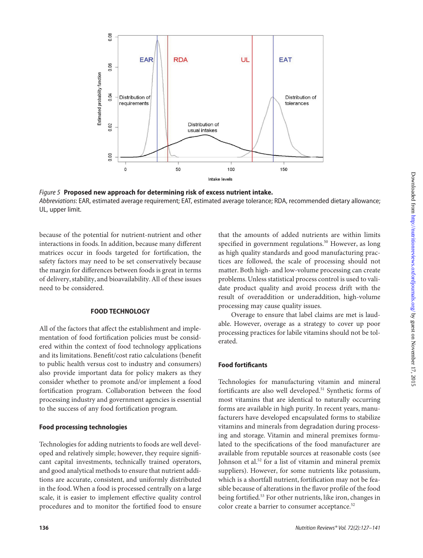

Figure 5 **Proposed new approach for determining risk of excess nutrient intake.** Abbreviations: EAR, estimated average requirement; EAT, estimated average tolerance; RDA, recommended dietary allowance; UL, upper limit.

because of the potential for nutrient-nutrient and other interactions in foods. In addition, because many different matrices occur in foods targeted for fortification, the safety factors may need to be set conservatively because the margin for differences between foods is great in terms of delivery, stability, and bioavailability.All of these issues need to be considered.

# **FOOD TECHNOLOGY**

All of the factors that affect the establishment and implementation of food fortification policies must be considered within the context of food technology applications and its limitations. Benefit/cost ratio calculations (benefit to public health versus cost to industry and consumers) also provide important data for policy makers as they consider whether to promote and/or implement a food fortification program. Collaboration between the food processing industry and government agencies is essential to the success of any food fortification program.

## **Food processing technologies**

Technologies for adding nutrients to foods are well developed and relatively simple; however, they require significant capital investments, technically trained operators, and good analytical methods to ensure that nutrient additions are accurate, consistent, and uniformly distributed in the food.When a food is processed centrally on a large scale, it is easier to implement effective quality control procedures and to monitor the fortified food to ensure that the amounts of added nutrients are within limits specified in government regulations.<sup>50</sup> However, as long as high quality standards and good manufacturing practices are followed, the scale of processing should not matter. Both high- and low-volume processing can create problems. Unless statistical process control is used to validate product quality and avoid process drift with the result of overaddition or underaddition, high-volume processing may cause quality issues.

Overage to ensure that label claims are met is laudable. However, overage as a strategy to cover up poor processing practices for labile vitamins should not be tolerated.

# **Food fortificants**

Technologies for manufacturing vitamin and mineral fortificants are also well developed.<sup>51</sup> Synthetic forms of most vitamins that are identical to naturally occurring forms are available in high purity. In recent years, manufacturers have developed encapsulated forms to stabilize vitamins and minerals from degradation during processing and storage. Vitamin and mineral premixes formulated to the specifications of the food manufacturer are available from reputable sources at reasonable costs (see Johnson et al.<sup>52</sup> for a list of vitamin and mineral premix suppliers). However, for some nutrients like potassium, which is a shortfall nutrient, fortification may not be feasible because of alterations in the flavor profile of the food being fortified.53 For other nutrients, like iron, changes in color create a barrier to consumer acceptance.<sup>52</sup>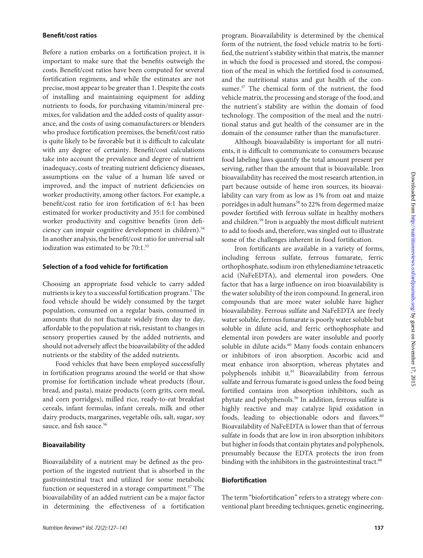Before a nation embarks on a fortification project, it is important to make sure that the benefits outweigh the costs. Benefit/cost ratios have been computed for several fortification regimens, and while the estimates are not precise,most appear to be greater than 1. Despite the costs of installing and maintaining equipment for adding nutrients to foods, for purchasing vitamin/mineral premixes, for validation and the added costs of quality assurance, and the costs of using comanufacturers or blenders who produce fortification premixes, the benefit/cost ratio is quite likely to be favorable but it is difficult to calculate with any degree of certainty. Benefit/cost calculations take into account the prevalence and degree of nutrient inadequacy, costs of treating nutrient deficiency diseases, assumptions on the value of a human life saved or improved, and the impact of nutrient deficiencies on worker productivity, among other factors. For example, a benefit/cost ratio for iron fortification of 6:1 has been estimated for worker productivity and 35:1 for combined worker productivity and cognitive benefits (iron deficiency can impair cognitive development in children).<sup>54</sup> In another analysis, the benefit/cost ratio for universal salt iodization was estimated to be  $70:1.^{55}$ 

## **Selection of a food vehicle for fortification**

Choosing an appropriate food vehicle to carry added nutrients is key to a successful fortification program.<sup>3</sup> The food vehicle should be widely consumed by the target population, consumed on a regular basis, consumed in amounts that do not fluctuate widely from day to day, affordable to the population at risk, resistant to changes in sensory properties caused by the added nutrients, and should not adversely affect the bioavailability of the added nutrients or the stability of the added nutrients.

Food vehicles that have been employed successfully in fortification programs around the world or that show promise for fortification include wheat products (flour, bread, and pasta), maize products (corn grits, corn meal, and corn porridges), milled rice, ready-to-eat breakfast cereals, infant formulas, infant cereals, milk and other dairy products, margarines, vegetable oils, salt, sugar, soy sauce, and fish sauce.<sup>56</sup>

## **Bioavailability**

Bioavailability of a nutrient may be defined as the proportion of the ingested nutrient that is absorbed in the gastrointestinal tract and utilized for some metabolic function or sequestered in a storage compartment.<sup>57</sup> The bioavailability of an added nutrient can be a major factor in determining the effectiveness of a fortification

program. Bioavailability is determined by the chemical form of the nutrient, the food vehicle matrix to be fortified, the nutrient's stability within that matrix, the manner in which the food is processed and stored, the composition of the meal in which the fortified food is consumed, and the nutritional status and gut health of the consumer.<sup>57</sup> The chemical form of the nutrient, the food vehicle matrix, the processing and storage of the food, and the nutrient's stability are within the domain of food technology. The composition of the meal and the nutritional status and gut health of the consumer are in the domain of the consumer rather than the manufacturer.

Although bioavailability is important for all nutrients, it is difficult to communicate to consumers because food labeling laws quantify the total amount present per serving, rather than the amount that is bioavailable. Iron bioavailability has received the most research attention, in part because outside of heme iron sources, its bioavailability can vary from as low as 1% from oat and maize porridges in adult humans<sup>58</sup> to 22% from degermed maize powder fortified with ferrous sulfate in healthy mothers and children.59 Iron is arguably the most difficult nutrient to add to foods and, therefore, was singled out to illustrate some of the challenges inherent in food fortification.

Iron fortificants are available in a variety of forms, including ferrous sulfate, ferrous fumarate, ferric orthophosphate, sodium iron ethylenediamine tetraacetic acid (NaFeEDTA), and elemental iron powders. One factor that has a large influence on iron bioavailability is the water solubility of the iron compound. In general, iron compounds that are more water soluble have higher bioavailability. Ferrous sulfate and NaFeEDTA are freely water soluble, ferrous fumarate is poorly water soluble but soluble in dilute acid, and ferric orthophosphate and elemental iron powders are water insoluble and poorly soluble in dilute acids.<sup>60</sup> Many foods contain enhancers or inhibitors of iron absorption. Ascorbic acid and meat enhance iron absorption, whereas phytates and polyphenols inhibit it.<sup>61</sup> Bioavailability from ferrous sulfate and ferrous fumarate is good unless the food being fortified contains iron absorption inhibitors, such as phytate and polyphenols.50 In addition, ferrous sulfate is highly reactive and may catalyze lipid oxidation in foods, leading to objectionable odors and flavors.<sup>60</sup> Bioavailability of NaFeEDTA is lower than that of ferrous sulfate in foods that are low in iron absorption inhibitors but higher in foods that contain phytates and polyphenols, presumably because the EDTA protects the iron from binding with the inhibitors in the gastrointestinal tract.<sup>60</sup>

## **Biofortification**

The term "biofortification" refers to a strategy where conventional plant breeding techniques, genetic engineering,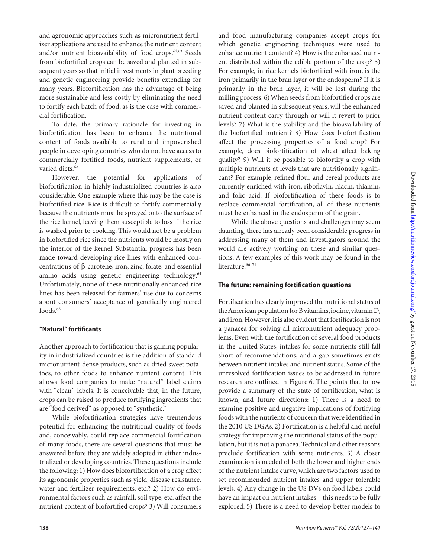and agronomic approaches such as micronutrient fertilizer applications are used to enhance the nutrient content and/or nutrient bioavailability of food crops.<sup>62,63</sup> Seeds from biofortified crops can be saved and planted in subsequent years so that initial investments in plant breeding and genetic engineering provide benefits extending for many years. Biofortification has the advantage of being more sustainable and less costly by eliminating the need to fortify each batch of food, as is the case with commercial fortification.

To date, the primary rationale for investing in biofortification has been to enhance the nutritional content of foods available to rural and impoverished people in developing countries who do not have access to commercially fortified foods, nutrient supplements, or varied diets.<sup>62</sup>

However, the potential for applications of biofortification in highly industrialized countries is also considerable. One example where this may be the case is biofortified rice. Rice is difficult to fortify commercially because the nutrients must be sprayed onto the surface of the rice kernel, leaving them susceptible to loss if the rice is washed prior to cooking. This would not be a problem in biofortified rice since the nutrients would be mostly on the interior of the kernel. Substantial progress has been made toward developing rice lines with enhanced concentrations of β-carotene, iron, zinc, folate, and essential amino acids using genetic engineering technology.<sup>64</sup> Unfortunately, none of these nutritionally enhanced rice lines has been released for farmers' use due to concerns about consumers' acceptance of genetically engineered  $f$ oods. $65$ 

# **"Natural" fortificants**

Another approach to fortification that is gaining popularity in industrialized countries is the addition of standard micronutrient-dense products, such as dried sweet potatoes, to other foods to enhance nutrient content. This allows food companies to make "natural" label claims with "clean" labels. It is conceivable that, in the future, crops can be raised to produce fortifying ingredients that are "food derived" as opposed to "synthetic."

While biofortification strategies have tremendous potential for enhancing the nutritional quality of foods and, conceivably, could replace commercial fortification of many foods, there are several questions that must be answered before they are widely adopted in either industrialized or developing countries. These questions include the following: 1) How does biofortification of a crop affect its agronomic properties such as yield, disease resistance, water and fertilizer requirements, etc.? 2) How do environmental factors such as rainfall, soil type, etc. affect the nutrient content of biofortified crops? 3) Will consumers and food manufacturing companies accept crops for which genetic engineering techniques were used to enhance nutrient content? 4) How is the enhanced nutrient distributed within the edible portion of the crop? 5) For example, in rice kernels biofortified with iron, is the iron primarily in the bran layer or the endosperm? If it is primarily in the bran layer, it will be lost during the milling process. 6)When seeds from biofortified crops are saved and planted in subsequent years, will the enhanced nutrient content carry through or will it revert to prior levels? 7) What is the stability and the bioavailability of the biofortified nutrient? 8) How does biofortification affect the processing properties of a food crop? For example, does biofortification of wheat affect baking quality? 9) Will it be possible to biofortify a crop with multiple nutrients at levels that are nutritionally significant? For example, refined flour and cereal products are currently enriched with iron, riboflavin, niacin, thiamin, and folic acid. If biofortification of these foods is to replace commercial fortification, all of these nutrients must be enhanced in the endosperm of the grain.

While the above questions and challenges may seem daunting, there has already been considerable progress in addressing many of them and investigators around the world are actively working on these and similar questions. A few examples of this work may be found in the literature.<sup>66-71</sup>

## **The future: remaining fortification questions**

Fortification has clearly improved the nutritional status of the American population for B vitamins, iodine, vitamin D, and iron. However, it is also evident that fortification is not a panacea for solving all micronutrient adequacy problems. Even with the fortification of several food products in the United States, intakes for some nutrients still fall short of recommendations, and a gap sometimes exists between nutrient intakes and nutrient status. Some of the unresolved fortification issues to be addressed in future research are outlined in Figure 6. The points that follow provide a summary of the state of fortification, what is known, and future directions: 1) There is a need to examine positive and negative implications of fortifying foods with the nutrients of concern that were identified in the 2010 US DGAs. 2) Fortification is a helpful and useful strategy for improving the nutritional status of the population, but it is not a panacea. Technical and other reasons preclude fortification with some nutrients. 3) A closer examination is needed of both the lower and higher ends of the nutrient intake curve, which are two factors used to set recommended nutrient intakes and upper tolerable levels. 4) Any change in the US DVs on food labels could have an impact on nutrient intakes – this needs to be fully explored. 5) There is a need to develop better models to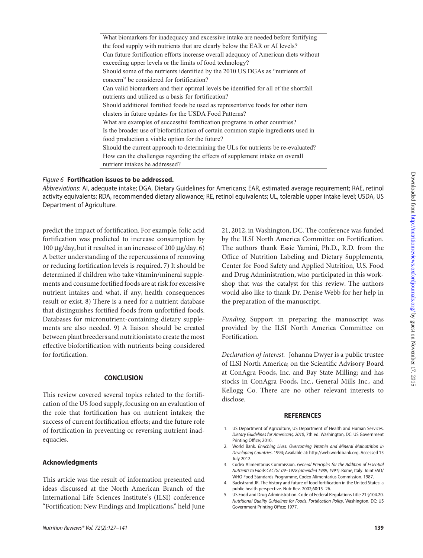What biomarkers for inadequacy and excessive intake are needed before fortifying the food supply with nutrients that are clearly below the EAR or AI levels? Can future fortification efforts increase overall adequacy of American diets without exceeding upper levels or the limits of food technology? Should some of the nutrients identified by the 2010 US DGAs as "nutrients of concern" be considered for fortification? Can valid biomarkers and their optimal levels be identified for all of the shortfall nutrients and utilized as a basis for fortification? Should additional fortified foods be used as representative foods for other item clusters in future updates for the USDA Food Patterns? What are examples of successful fortification programs in other countries? Is the broader use of biofortification of certain common staple ingredients used in food production a viable option for the future? Should the current approach to determining the ULs for nutrients be re-evaluated? How can the challenges regarding the effects of supplement intake on overall nutrient intakes be addressed?

## Figure 6 **Fortification issues to be addressed.**

Abbreviations: AI, adequate intake; DGA, Dietary Guidelines for Americans; EAR, estimated average requirement; RAE, retinol activity equivalents; RDA, recommended dietary allowance; RE, retinol equivalents; UL, tolerable upper intake level; USDA, US Department of Agriculture.

predict the impact of fortification. For example, folic acid fortification was predicted to increase consumption by 100 μg/day, but it resulted in an increase of 200 μg/day. 6) A better understanding of the repercussions of removing or reducing fortification levels is required. 7) It should be determined if children who take vitamin/mineral supplements and consume fortified foods are at risk for excessive nutrient intakes and what, if any, health consequences result or exist. 8) There is a need for a nutrient database that distinguishes fortified foods from unfortified foods. Databases for micronutrient-containing dietary supplements are also needed. 9) A liaison should be created between plant breeders and nutritionists to create the most effective biofortification with nutrients being considered for fortification.

#### **CONCLUSION**

This review covered several topics related to the fortification of the US food supply,focusing on an evaluation of the role that fortification has on nutrient intakes; the success of current fortification efforts; and the future role of fortification in preventing or reversing nutrient inadequacies.

## **Acknowledgments**

This article was the result of information presented and ideas discussed at the North American Branch of the International Life Sciences Institute's (ILSI) conference "Fortification: New Findings and Implications," held June

21, 2012, in Washington, DC. The conference was funded by the ILSI North America Committee on Fortification. The authors thank Essie Yamini, Ph.D., R.D. from the Office of Nutrition Labeling and Dietary Supplements, Center for Food Safety and Applied Nutrition, U.S. Food and Drug Administration, who participated in this workshop that was the catalyst for this review. The authors would also like to thank Dr. Denise Webb for her help in the preparation of the manuscript.

*Funding.* Support in preparing the manuscript was provided by the ILSI North America Committee on Fortification.

*Declaration of interest.* Johanna Dwyer is a public trustee of ILSI North America; on the Scientific Advisory Board at ConAgra Foods, Inc. and Bay State Milling; and has stocks in ConAgra Foods, Inc., General Mills Inc., and Kellogg Co. There are no other relevant interests to disclose.

#### **REFERENCES**

- 1. US Department of Agriculture, US Department of Health and Human Services. Dietary Guidelines for Americans, 2010, 7th ed. Washington, DC: US Government Printing Office; 2010.
- 2. World Bank. Enriching Lives: Overcoming Vitamin and Mineral Malnutrition in Developing Countries. 1994; Available at: [http://web.worldbank.org.](http://web.worldbank.org) Accessed 15 July 2012.
- 3. Codex Alimentarius Commission. General Principles for the Addition of Essential Nutrients to Foods CAC/GL 09–1978 (amended 1989, 1991). Rome, Italy: Joint FAO/ WHO Food Standards Programme, Codex Alimentarius Commission. 1987.
- 4. Backstrand JR. The history and future of food fortification in the United States: a public health perspective. Nutr Rev. 2002;60:15–26.
- 5. US Food and Drug Administration. Code of Federal Regulations Title 21 §104.20. Nutritional Quality Guidelines for Foods. Fortification Policy. Washington, DC: US Government Printing Office; 1977.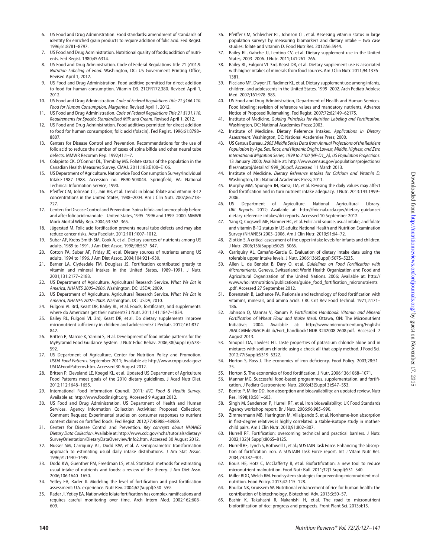- 6. US Food and Drug Administration. Food standards: amendment of standards of identity for enriched grain products to require addition of folic acid. Fed Regist. 1996;61:8781–8797.
- 7. US Food and Drug Administration. Nutritional quality of foods; addition of nutrients. Fed Regist. 1980;45:6314.
- 8. US Food and Drug Administration. Code of Federal Regulations Title 21 §101.9. Nutrition Labeling of Food. Washington, DC: US Government Printing Office; Revised April 1, 2012.
- 9. US Food and Drug Administration. Food additive permitted for direct addition to food for human consumption. Vitamin D3. 21CFR172.380. Revised April 1, 2012.
- 10. US Food and Drug Administration. Code of Federal Regulations Title 21 §166.110. Food for Human Consumption. Margarine. Revised April 1, 2012.
- US Food and Drug Administration. Code of Federal Regulations Title 21 §131.110. Requirements for Specific Standardized Milk and Cream. Revised April 1, 2012.
- 12. US Food and Drug Administration. Food additives permitted for direct addition to food for human consumption; folic acid (folacin). Fed Regist. 1996;61:8798– 8807.
- 13. Centers for Disease Control and Prevention. Recommendations for the use of folic acid to reduce the number of cases of spina bifida and other neural tube defects. MMWR Recomm Rep. 1992;41:1–7.
- 14. Colapinto CK, O'Connor DL, Tremblay MS. Folate status of the population in the Canadian Health Measures Survey. CMAJ. 2011;183:E100–E106.
- 15. US Department of Agriculture. Nationwide Food Consumption Survey/Individual Intake-1987–1988. Accession no. PB90-504044. Springfield, VA: National Technical Information Service; 1990.
- 16. Pfeiffer CM, Johnson CL, Jain RB, et al. Trends in blood folate and vitamin B-12 concentrations in the United States, 1988–2004. Am J Clin Nutr. 2007;86:718– 727.
- 17. Centers for Disease Control and Prevention. Spina bifida and anencephaly before and after folic acid mandate – United States, 1995–1996 and 1999–2000. MMWR Morb Mortal Wkly Rep. 2004;53:362–365.
- 18. Jägerstad M. Folic acid fortification prevents neural tube defects and may also reduce cancer risks. Acta Paediatr. 2012;101:1007–1012.
- 19. Subar AF, Krebs-Smith SM, Cook A, et al. Dietary sources of nutrients among US adults, 1989 to 1991. J Am Diet Assoc. 1998;98:537–547.
- 20. Cotton PA, Subar AF, Friday JE, et al. Dietary sources of nutrients among US adults, 1994 to 1996. J Am Diet Assoc. 2004;104:921–930.
- 21. Berner LA, Clydesdale FM, Douglass JS. Fortification contributed greatly to vitamin and mineral intakes in the United States, 1989–1991. J Nutr. 2001;131:2177–2183.
- 22. US Department of Agriculture, Agricultural Research Service. What We Eat in America, NHANES 2005–2006. Washington, DC: USDA; 2009.
- 23. US Department of Agriculture, Agricultural Research Service. What We Eat in America, NHANES 2007–2008. Washington, DC: USDA; 2010.
- 24. Fulgoni VL 3rd, Keast DR, Bailey RL, et al. Foods, fortificants, and supplements: where do Americans get their nutrients? J Nutr. 2011;141:1847–1854.
- 25. Bailey RL, Fulgoni VL 3rd, Keast DR, et al. Do dietary supplements improve micronutrient sufficiency in children and adolescents? J Pediatr. 2012;161:837– 842.
- 26. Britten P, Marcoe K, Yamini S, et al. Development of food intake patterns for the MyPyramid Food Guidance System. J Nutr Educ Behav. 2006;38(Suppl 6):S78– S92.
- 27. US Department of Agriculture, Center for Nutrition Policy and Promotion. USDA Food Patterns. September 2011; Available at: [http://www.cnpp.usda.gov/](http://www.cnpp.usda.gov/USDAFoodPatterns.htm) [USDAFoodPatterns.htm.](http://www.cnpp.usda.gov/USDAFoodPatterns.htm) Accessed 30 August 2012.
- 28. Britten P, Cleveland LE, Koegel KL, et al. Updated US Department of Agriculture Food Patterns meet goals of the 2010 dietary guidelines. J Acad Nutr Diet. 2012;112:1648–1655.
- 29. International Food Information Council. 2011: IFIC Food & Health Survey. Available at: [http://www.foodinsight.org.](http://www.foodinsight.org) Accessed 9 August 2012.
- 30. US Food and Drug Administration, US Department of Health and Human Services. Agency Information Collection Activities; Proposed Collection; Comment Request; Experimental studies on consumer responses to nutrient content claims on fortified foods. Fed Regist. 2012;77:48988–48989.
- 31. Centers for Disease Control and Prevention. Key concepts about NHANES Dietary Data Collection. Available at[: http://www.cdc.gov/nchs/tutorials/dietary/](http://www.cdc.gov/nchs/tutorials/dietary/SurveyOrientation/DietaryDataOverview/Info2.htm) [SurveyOrientation/DietaryDataOverview/Info2.htm.](http://www.cdc.gov/nchs/tutorials/dietary/SurveyOrientation/DietaryDataOverview/Info2.htm) Accessed 30 August 2012.
- 32. Nusser SM, Carriquiry AL, Dodd KW, et al. A semiparametric transformation approach to estimating usual daily intake distributions. J Am Stat Assoc. 1996;91:1440–1449.
- 33. Dodd KW, Guenther PM, Freedman LS, et al. Statistical methods for estimating usual intake of nutrients and foods: a review of the theory. J Am Diet Assn. 2006;106:1640–1650.
- 34. Yetley EA, Rader JI. Modeling the level of fortification and post-fortification assessment: U.S. experience. Nutr Rev. 2004;62(Suppl):S50–S59.
- 35. Rader JI, Yetley EA. Nationwide folate fortification has complex ramifications and requires careful monitoring over time. Arch Intern Med. 2002;162:608– 609.
- 36. Pfeiffer CM, Schleicher RL, Johnson CL, et al. Assessing vitamin status in large population surveys by measuring biomarkers and dietary intake – two case studies: folate and vitamin D. Food Nutr Res. 2012;56:5944.
- 37. Bailey RL, Gahche JJ, Lentino CV, et al. Dietary supplement use in the United States, 2003–2006. J Nutr. 2011;141:261–266.
- 38. Bailey RL, Fulgoni VL 3rd, Keast DR, et al. Dietary supplement use is associated with higher intakes of minerals from food sources. Am J Clin Nutr. 2011;94:1376– 1381.
- 39. Picciano MF, Dwyer JT, Radimer KL, et al. Dietary supplement use among infants, children, and adolescents in the United States, 1999–2002. Arch Pediatr Adolesc Med. 2007;161:978–985.
- 40. US Food and Drug Administration, Department of Health and Human Services. Food labeling: revision of reference values and mandatory nutrients, Advance Notice of Proposed Rulemaking. Fed Regist. 2007;72:62149–62175.
- 41. Institute of Medicine. Guiding Principles for Nutrition Labeling and Fortification. Washington, DC: National Academies Press; 2003.
- 42. Institute of Medicine. Dietary Reference Intakes. Applications in Dietary Assessment. Washington, DC: National Academies Press; 2000.
- 43. US Census Bureau. 2005 Middle Series Data from Annual Projections of the Resident Population by Age, Sex, Race, and Hispanic Origin: Lowest, Middle, Highest, and Zero International Migration Series, 1999 to 2100 (NP-D1\_A), US Population Projections. 13 January 2000; Available at: [http://www.census.gov/population/projections/](http://www.census.gov/population/projections/files/natproj/detail/d1999_00.pdf) [files/natproj/detail/d1999\\_00.pdf.](http://www.census.gov/population/projections/files/natproj/detail/d1999_00.pdf) Accessed 11 March 2013.
- 44. Institute of Medicine. Dietary Reference Intakes for Calcium and Vitamin D. Washington, DC: National Academies Press; 2011.
- 45. Murphy MM, Spungen JH, Barraj LM, et al. Revising the daily values may affect food fortification and in turn nutrient intake adequacy. J Nutr. 2013:143:1999– 2006.
- 46. US Department of Agriculture. National Agricultural Library. DRI Reports. 2012; Available at: [http://fnic.nal.usda.gov/dietary-guidance/](http://fnic.nal.usda.gov/dietary-guidance/dietary-reference-intakes/dri-reports) [dietary-reference-intakes/dri-reports.](http://fnic.nal.usda.gov/dietary-guidance/dietary-reference-intakes/dri-reports) Accessed 10 September 2012.
- 47. Yang Q, Cogswell ME, Hamner HC, et al. Folic acid source, usual intake, and folate and vitamin B-12 status in US adults: National Health and Nutrition Examination Survey (NHANES) 2003–2006. Am J Clin Nutr. 2010;91:64–72.
- Zlotkin S. A critical assessment of the upper intake levels for infants and children. J Nutr. 2006;136(Suppl):502S–506S.
- 49. Carriquiry AL, Camaño-Garcia G. Evaluation of dietary intake data using the tolerable upper intake levels. J Nutr. 2006;136(Suppl):507S–523S.
- Allen L, de Benoist B, Dary O, et al. Guidelines on Food Fortification with Micronutrients. Geneva, Switzerland: World Health Organization and Food and Agricultural Organization of the United Nations. 2006; Available at: [http://](http://www.who.int/nutrition/publications/guide_food_fortification_micronutrients.pdf) [www.who.int/nutrition/publications/guide\\_food\\_fortification\\_micronutrients](http://www.who.int/nutrition/publications/guide_food_fortification_micronutrients.pdf) [.pdf.](http://www.who.int/nutrition/publications/guide_food_fortification_micronutrients.pdf) Accessed 27 September 2012.
- 51. Borenstein B, Lachance PA. Rationale and technology of food fortification with vitamins, minerals, and amino acids. CRC Crit Rev Food Technol. 1971;2:171– 186.
- 52. Johnson Q, Mannar V, Ranum P. Fortification Handbook: Vitamin and Mineral Fortification of Wheat Flour and Maize Meal. Ottawa, ON: The Micronutrient Initiative; 2004. Available at: [http://www.micronutrient.org/English/](http://www.micronutrient.org/English/.%5CCMFiles%5CPubLib/Fort_handbook1NDB-3242008-2608.pdf) [.%5CCMFiles%5CPubLib/Fort\\_handbook1NDB-3242008-2608.pdf.](http://www.micronutrient.org/English/.%5CCMFiles%5CPubLib/Fort_handbook1NDB-3242008-2608.pdf) Accessed 7 August 2013.
- 53. Sinopoli DA, Lawless HT. Taste properties of potassium chloride alone and in mixtures with sodium chloride using a check-all-that-apply method. J Food Sci. 2012;77(Suppl):S319–S322.
- 54. Horton S, Ross J. The economics of iron deficiency. Food Policy. 2003;28:51– 75.
- 55. Horton S. The economics of food fortification. J Nutr. 2006;136:1068–1071.
- 56. Mannar MG. Successful food-based programmes, supplementation, and fortification. J Pediatr Gastroenterol Nutr. 2006;43(Suppl 3):S47–S53.
- 57. Benito P, Miller DD. Iron absorption and bioavailability: an updated review. Nutr Res. 1998;18:581–603.
- Singh M, Sanderson P, Hurrell RF, et al. Iron bioavailability: UK Food Standards Agency workshop report. Br J Nutr. 2006;96:985–990.
- 59. Zimmermann MB, Harrington M, Villalpando S, et al. Nonheme-iron absorption in first-degree relatives is highly correlated: a stable-isotope study in motherchild pairs. Am J Clin Nutr. 2010;91:802–807.
- 60. Hurrell RF. Fortification: overcoming technical and practical barriers. J Nutr. 2002;132(4 Suppl):806S–812S.
- 61. Hurrell RF, Lynch S, Bothwell T, et al.; SUSTAIN Task Force. Enhancing the absorption of fortification iron. A SUSTAIN Task Force report. Int J Vitam Nutr Res. 2004;74:387–401.
- 62. Bouis HE, Hotz C, McClafferty B, et al. Biofortification: a new tool to reduce micronutrient malnutrition. Food Nutr Bull. 2011;32(1 Suppl):S31–S40.
- 63. Miller BDD, Welch RM. Food system strategies for preventing micronutrient malnutrition. Food Policy. 2013;42:115–128.
- 64. Bhullar NK, Gruissem W. Nutritional enhancement of rice for human health: the contribution of biotechnology. Biotechnol Adv. 2013;3:50–57.
- 65. Bashir K, Takahashi R, Nakanishi H, et al. The road to micronutrient biofortification of rice: progress and prospects. Front Plant Sci. 2013;4:15.